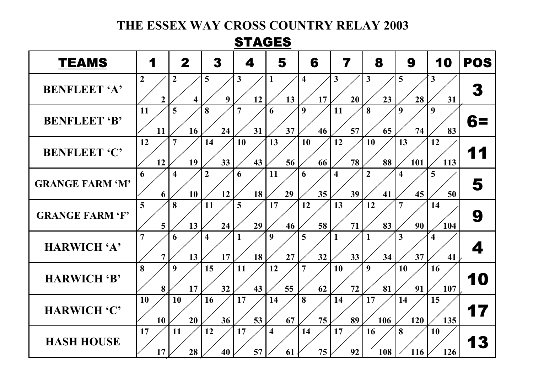## **THE ESSEX WAY CROSS COUNTRY RELAY 2003**

## STAGES

| <b>TEAMS</b>           | 1                                | $\mathbf 2$                               | 3                             | 4                    | 5                             | 6                             | 7                             | 8                    | 9         | 10                            | <b>POS</b> |
|------------------------|----------------------------------|-------------------------------------------|-------------------------------|----------------------|-------------------------------|-------------------------------|-------------------------------|----------------------|-----------|-------------------------------|------------|
| <b>BENFLEET 'A'</b>    | $\overline{2}$<br>$\overline{2}$ | $\overline{2}$<br>$\overline{\mathbf{4}}$ | 5<br>9                        | 3<br>12              | 1<br>13                       | $\overline{\mathbf{4}}$<br>17 | 3<br>20                       | $\mathbf{3}$<br>23   | 5<br>28   | $\mathbf{3}$<br>31            | 3          |
| <b>BENFLEET 'B'</b>    | 11<br>11                         | 5<br>16                                   | 8<br>24                       | $\overline{7}$<br>31 | 6<br>37                       | 9<br>46                       | 11<br>57                      | 8<br>65              | 9<br>74   | 9<br>83                       | 68         |
| <b>BENFLEET 'C'</b>    | 12<br>12                         | 7<br>19                                   | 14<br>33                      | 10<br>43             | 13<br>56                      | 10<br>66                      | 12<br>78                      | 10<br>88             | 13<br>101 | 12<br>113                     |            |
| <b>GRANGE FARM 'M'</b> | 6<br>6                           | $\overline{\mathbf{4}}$<br>10             | $\overline{2}$<br>12          | 6<br>18              | 11<br>29                      | 6<br>35                       | $\overline{\mathbf{4}}$<br>39 | $\overline{2}$<br>41 | 4<br>45   | 5<br>50                       | 5          |
| <b>GRANGE FARM 'F'</b> | 5<br>5                           | 8<br>13                                   | <b>11</b><br>24               | 5<br>29              | 17<br>46                      | 12<br>58                      | 13<br>71                      | 12<br>83             | 7<br>90   | 14<br>104                     | 9          |
| HARWICH 'A'            | 7<br>7                           | 6<br>13                                   | $\overline{\mathbf{4}}$<br>17 | 18                   | 9<br>27                       | 5<br>32                       | 33                            | 1<br>34              | 3<br>37   | $\overline{\mathbf{4}}$<br>41 | Δ.         |
| HARWICH 'B'            | 8<br>8                           | 9<br>17                                   | 15<br>32                      | 11<br>43             | 12<br>55                      | $\overline{7}$<br>62          | 10<br>72                      | 9<br>81              | 10<br>91  | 16<br>107                     | m          |
| HARWICH 'C'            | 10<br>10                         | 10<br>20                                  | 16<br>36                      | 17<br>53             | 14<br>67                      | 8<br>75                       | 14<br>89                      | 17<br>106            | 14<br>120 | 15<br>135                     |            |
| <b>HASH HOUSE</b>      | 17<br>17                         | 11<br>28                                  | 12<br>40                      | 17<br>57             | $\overline{\mathbf{4}}$<br>61 | 14<br>75                      | 17<br>92                      | 16<br>108            | 8<br>116  | 10<br>126                     |            |